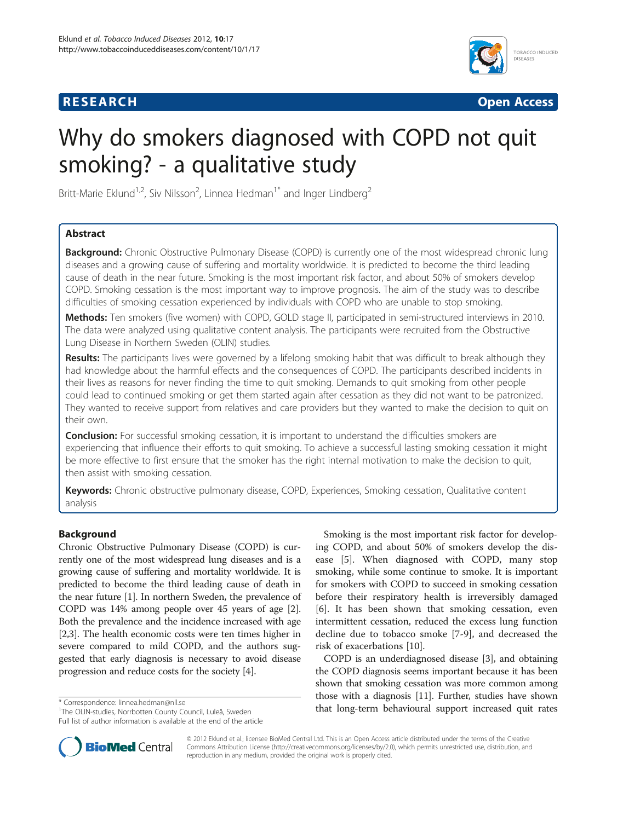

**RESEARCH RESEARCH** *CHECKER CHECKER CHECKER CHECKER CHECKER CHECKER CHECKER CHECKER CHECKER CHECKER CHECKER* 

# Why do smokers diagnosed with COPD not quit smoking? - a qualitative study

Britt-Marie Eklund<sup>1,2</sup>, Siv Nilsson<sup>2</sup>, Linnea Hedman<sup>1\*</sup> and Inger Lindberg<sup>2</sup>

# Abstract

**Background:** Chronic Obstructive Pulmonary Disease (COPD) is currently one of the most widespread chronic lung diseases and a growing cause of suffering and mortality worldwide. It is predicted to become the third leading cause of death in the near future. Smoking is the most important risk factor, and about 50% of smokers develop COPD. Smoking cessation is the most important way to improve prognosis. The aim of the study was to describe difficulties of smoking cessation experienced by individuals with COPD who are unable to stop smoking.

Methods: Ten smokers (five women) with COPD, GOLD stage II, participated in semi-structured interviews in 2010. The data were analyzed using qualitative content analysis. The participants were recruited from the Obstructive Lung Disease in Northern Sweden (OLIN) studies.

Results: The participants lives were governed by a lifelong smoking habit that was difficult to break although they had knowledge about the harmful effects and the consequences of COPD. The participants described incidents in their lives as reasons for never finding the time to quit smoking. Demands to quit smoking from other people could lead to continued smoking or get them started again after cessation as they did not want to be patronized. They wanted to receive support from relatives and care providers but they wanted to make the decision to quit on their own.

**Conclusion:** For successful smoking cessation, it is important to understand the difficulties smokers are experiencing that influence their efforts to quit smoking. To achieve a successful lasting smoking cessation it might be more effective to first ensure that the smoker has the right internal motivation to make the decision to quit, then assist with smoking cessation.

Keywords: Chronic obstructive pulmonary disease, COPD, Experiences, Smoking cessation, Qualitative content analysis

# Background

Chronic Obstructive Pulmonary Disease (COPD) is currently one of the most widespread lung diseases and is a growing cause of suffering and mortality worldwide. It is predicted to become the third leading cause of death in the near future [\[1\]](#page-5-0). In northern Sweden, the prevalence of COPD was 14% among people over 45 years of age [[2](#page-5-0)]. Both the prevalence and the incidence increased with age [[2,](#page-5-0)[3](#page-6-0)]. The health economic costs were ten times higher in severe compared to mild COPD, and the authors suggested that early diagnosis is necessary to avoid disease progression and reduce costs for the society [\[4](#page-6-0)].

<sup>1</sup>The OLIN-studies, Norrbotten County Council, Luleå, Sweden Full list of author information is available at the end of the article



COPD is an underdiagnosed disease [[3](#page-6-0)], and obtaining the COPD diagnosis seems important because it has been shown that smoking cessation was more common among those with a diagnosis [\[11\]](#page-6-0). Further, studies have shown \* Correspondence: [linnea.hedman@nll.se](mailto:linnea.hedman@nll.se)<br>
<sup>1</sup>The OLIN-studies Norrbotten County Council Luleå Sweden<br> **1The OLIN-studies Norrbotten County Council Luleå Sweden** 



© 2012 Eklund et al.; licensee BioMed Central Ltd. This is an Open Access article distributed under the terms of the Creative Commons Attribution License [\(http://creativecommons.org/licenses/by/2.0\)](http://creativecommons.org/licenses/by/2.0), which permits unrestricted use, distribution, and reproduction in any medium, provided the original work is properly cited.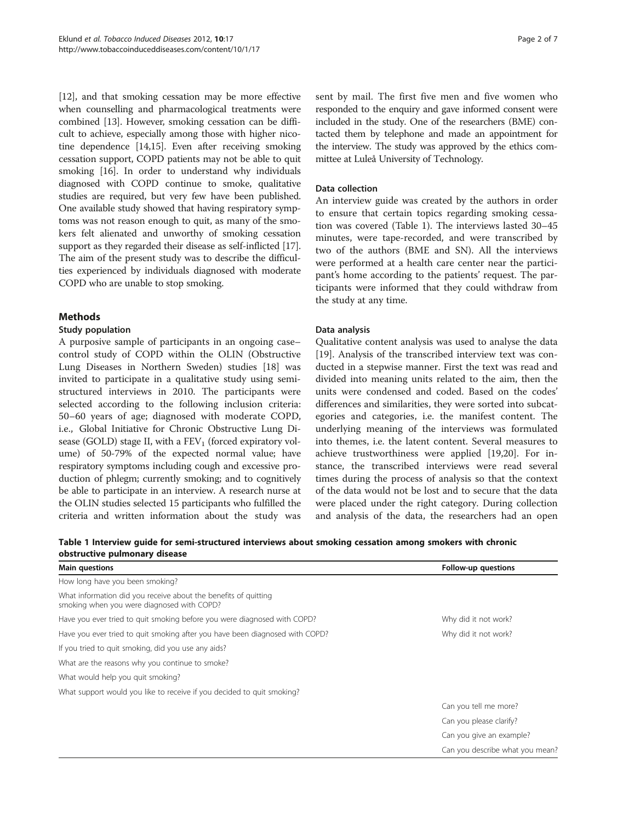[[12](#page-6-0)], and that smoking cessation may be more effective when counselling and pharmacological treatments were combined [\[13\]](#page-6-0). However, smoking cessation can be difficult to achieve, especially among those with higher nicotine dependence [\[14,15](#page-6-0)]. Even after receiving smoking cessation support, COPD patients may not be able to quit smoking [\[16](#page-6-0)]. In order to understand why individuals diagnosed with COPD continue to smoke, qualitative studies are required, but very few have been published. One available study showed that having respiratory symptoms was not reason enough to quit, as many of the smokers felt alienated and unworthy of smoking cessation support as they regarded their disease as self-inflicted [[17](#page-6-0)]. The aim of the present study was to describe the difficulties experienced by individuals diagnosed with moderate COPD who are unable to stop smoking.

# Methods

# Study population

A purposive sample of participants in an ongoing case– control study of COPD within the OLIN (Obstructive Lung Diseases in Northern Sweden) studies [[18\]](#page-6-0) was invited to participate in a qualitative study using semistructured interviews in 2010. The participants were selected according to the following inclusion criteria: 50–60 years of age; diagnosed with moderate COPD, i.e., Global Initiative for Chronic Obstructive Lung Disease (GOLD) stage II, with a  $FEV<sub>1</sub>$  (forced expiratory volume) of 50-79% of the expected normal value; have respiratory symptoms including cough and excessive production of phlegm; currently smoking; and to cognitively be able to participate in an interview. A research nurse at the OLIN studies selected 15 participants who fulfilled the criteria and written information about the study was sent by mail. The first five men and five women who responded to the enquiry and gave informed consent were included in the study. One of the researchers (BME) contacted them by telephone and made an appointment for the interview. The study was approved by the ethics committee at Luleå University of Technology.

#### Data collection

An interview guide was created by the authors in order to ensure that certain topics regarding smoking cessation was covered (Table 1). The interviews lasted 30–45 minutes, were tape-recorded, and were transcribed by two of the authors (BME and SN). All the interviews were performed at a health care center near the participant's home according to the patients' request. The participants were informed that they could withdraw from the study at any time.

#### Data analysis

Qualitative content analysis was used to analyse the data [[19\]](#page-6-0). Analysis of the transcribed interview text was conducted in a stepwise manner. First the text was read and divided into meaning units related to the aim, then the units were condensed and coded. Based on the codes' differences and similarities, they were sorted into subcategories and categories, i.e. the manifest content. The underlying meaning of the interviews was formulated into themes, i.e. the latent content. Several measures to achieve trustworthiness were applied [\[19,20\]](#page-6-0). For instance, the transcribed interviews were read several times during the process of analysis so that the context of the data would not be lost and to secure that the data were placed under the right category. During collection and analysis of the data, the researchers had an open

Table 1 Interview guide for semi-structured interviews about smoking cessation among smokers with chronic obstructive pulmonary disease

| <b>Main questions</b>                                                                                         | Follow-up questions             |
|---------------------------------------------------------------------------------------------------------------|---------------------------------|
| How long have you been smoking?                                                                               |                                 |
| What information did you receive about the benefits of quitting<br>smoking when you were diagnosed with COPD? |                                 |
| Have you ever tried to quit smoking before you were diagnosed with COPD?                                      | Why did it not work?            |
| Have you ever tried to quit smoking after you have been diagnosed with COPD?                                  | Why did it not work?            |
| If you tried to quit smoking, did you use any aids?                                                           |                                 |
| What are the reasons why you continue to smoke?                                                               |                                 |
| What would help you quit smoking?                                                                             |                                 |
| What support would you like to receive if you decided to quit smoking?                                        |                                 |
|                                                                                                               | Can you tell me more?           |
|                                                                                                               | Can you please clarify?         |
|                                                                                                               | Can you give an example?        |
|                                                                                                               | Can you describe what you mean? |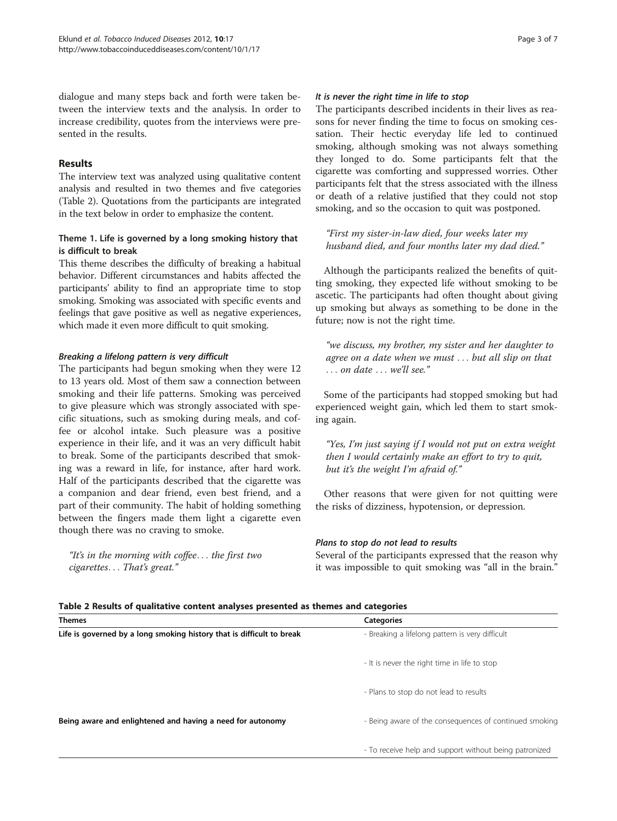dialogue and many steps back and forth were taken between the interview texts and the analysis. In order to increase credibility, quotes from the interviews were presented in the results.

# Results

The interview text was analyzed using qualitative content analysis and resulted in two themes and five categories (Table 2). Quotations from the participants are integrated in the text below in order to emphasize the content.

# Theme 1. Life is governed by a long smoking history that is difficult to break

This theme describes the difficulty of breaking a habitual behavior. Different circumstances and habits affected the participants' ability to find an appropriate time to stop smoking. Smoking was associated with specific events and feelings that gave positive as well as negative experiences, which made it even more difficult to quit smoking.

#### Breaking a lifelong pattern is very difficult

The participants had begun smoking when they were 12 to 13 years old. Most of them saw a connection between smoking and their life patterns. Smoking was perceived to give pleasure which was strongly associated with specific situations, such as smoking during meals, and coffee or alcohol intake. Such pleasure was a positive experience in their life, and it was an very difficult habit to break. Some of the participants described that smoking was a reward in life, for instance, after hard work. Half of the participants described that the cigarette was a companion and dear friend, even best friend, and a part of their community. The habit of holding something between the fingers made them light a cigarette even though there was no craving to smoke.

"It's in the morning with coffee... the first two cigarettes... That's great."

#### It is never the right time in life to stop

The participants described incidents in their lives as reasons for never finding the time to focus on smoking cessation. Their hectic everyday life led to continued smoking, although smoking was not always something they longed to do. Some participants felt that the cigarette was comforting and suppressed worries. Other participants felt that the stress associated with the illness or death of a relative justified that they could not stop smoking, and so the occasion to quit was postponed.

"First my sister-in-law died, four weeks later my husband died, and four months later my dad died."

Although the participants realized the benefits of quitting smoking, they expected life without smoking to be ascetic. The participants had often thought about giving up smoking but always as something to be done in the future; now is not the right time.

"we discuss, my brother, my sister and her daughter to agree on a date when we must ... but all slip on that ... on date ... we'll see."

Some of the participants had stopped smoking but had experienced weight gain, which led them to start smoking again.

"Yes, I'm just saying if I would not put on extra weight then I would certainly make an effort to try to quit, but it's the weight I'm afraid of."

Other reasons that were given for not quitting were the risks of dizziness, hypotension, or depression.

#### Plans to stop do not lead to results

Several of the participants expressed that the reason why it was impossible to quit smoking was "all in the brain."

Table 2 Results of qualitative content analyses presented as themes and categories

| <b>Themes</b>                                                         | <b>Categories</b>                                      |
|-----------------------------------------------------------------------|--------------------------------------------------------|
| Life is governed by a long smoking history that is difficult to break | - Breaking a lifelong pattern is very difficult        |
|                                                                       | - It is never the right time in life to stop           |
|                                                                       | - Plans to stop do not lead to results                 |
| Being aware and enlightened and having a need for autonomy            | - Being aware of the consequences of continued smoking |
|                                                                       | - To receive help and support without being patronized |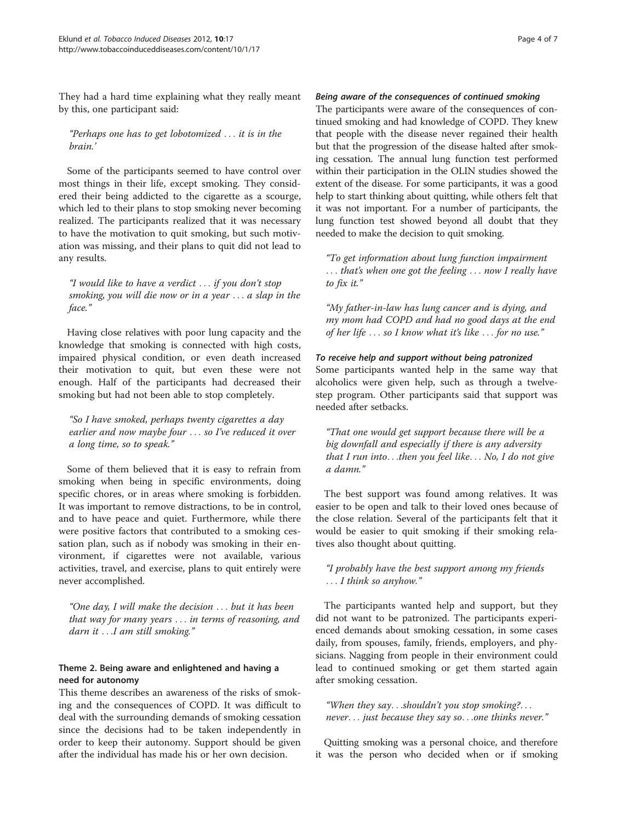They had a hard time explaining what they really meant by this, one participant said:

# "Perhaps one has to get lobotomized ... it is in the brain.'

Some of the participants seemed to have control over most things in their life, except smoking. They considered their being addicted to the cigarette as a scourge, which led to their plans to stop smoking never becoming realized. The participants realized that it was necessary to have the motivation to quit smoking, but such motivation was missing, and their plans to quit did not lead to any results.

"I would like to have a verdict ... if you don't stop smoking, you will die now or in a year ... a slap in the face."

Having close relatives with poor lung capacity and the knowledge that smoking is connected with high costs, impaired physical condition, or even death increased their motivation to quit, but even these were not enough. Half of the participants had decreased their smoking but had not been able to stop completely.

"So I have smoked, perhaps twenty cigarettes a day earlier and now maybe four ... so I've reduced it over a long time, so to speak."

Some of them believed that it is easy to refrain from smoking when being in specific environments, doing specific chores, or in areas where smoking is forbidden. It was important to remove distractions, to be in control, and to have peace and quiet. Furthermore, while there were positive factors that contributed to a smoking cessation plan, such as if nobody was smoking in their environment, if cigarettes were not available, various activities, travel, and exercise, plans to quit entirely were never accomplished.

"One day, I will make the decision ... but it has been that way for many years ... in terms of reasoning, and darn it . . .I am still smoking."

# Theme 2. Being aware and enlightened and having a need for autonomy

This theme describes an awareness of the risks of smoking and the consequences of COPD. It was difficult to deal with the surrounding demands of smoking cessation since the decisions had to be taken independently in order to keep their autonomy. Support should be given after the individual has made his or her own decision.

#### Being aware of the consequences of continued smoking

The participants were aware of the consequences of continued smoking and had knowledge of COPD. They knew that people with the disease never regained their health but that the progression of the disease halted after smoking cessation. The annual lung function test performed within their participation in the OLIN studies showed the extent of the disease. For some participants, it was a good help to start thinking about quitting, while others felt that it was not important. For a number of participants, the lung function test showed beyond all doubt that they needed to make the decision to quit smoking.

"To get information about lung function impairment ... that's when one got the feeling ... now I really have to fix it."

"My father-in-law has lung cancer and is dying, and my mom had COPD and had no good days at the end of her life ... so I know what it's like ... for no use."

#### To receive help and support without being patronized

Some participants wanted help in the same way that alcoholics were given help, such as through a twelvestep program. Other participants said that support was needed after setbacks.

"That one would get support because there will be a big downfall and especially if there is any adversity that I run into...then you feel like... No, I do not give a damn."

The best support was found among relatives. It was easier to be open and talk to their loved ones because of the close relation. Several of the participants felt that it would be easier to quit smoking if their smoking relatives also thought about quitting.

# "I probably have the best support among my friends ... I think so anyhow."

The participants wanted help and support, but they did not want to be patronized. The participants experienced demands about smoking cessation, in some cases daily, from spouses, family, friends, employers, and physicians. Nagging from people in their environment could lead to continued smoking or get them started again after smoking cessation.

"When they say...shouldn't you stop smoking?... never... just because they say so...one thinks never."

Quitting smoking was a personal choice, and therefore it was the person who decided when or if smoking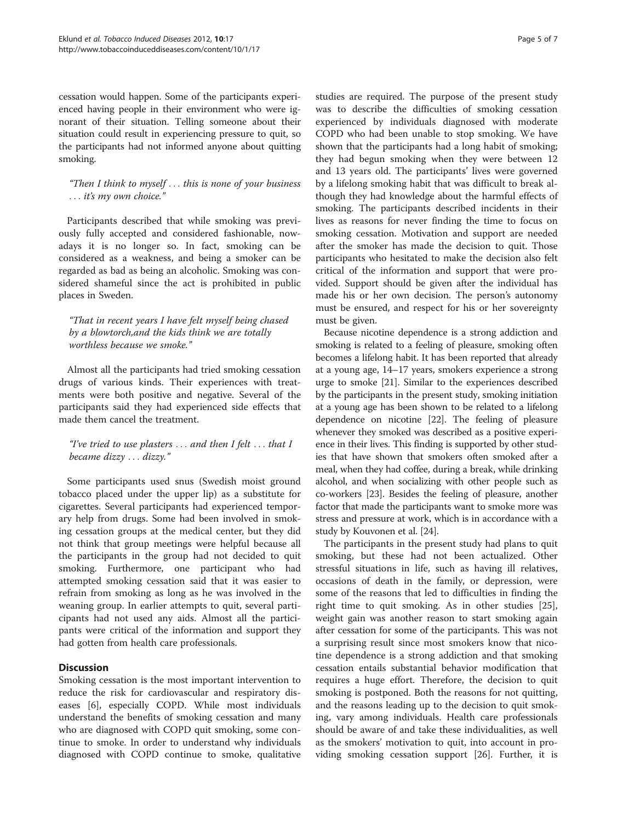cessation would happen. Some of the participants experienced having people in their environment who were ignorant of their situation. Telling someone about their situation could result in experiencing pressure to quit, so the participants had not informed anyone about quitting smoking.

"Then I think to myself ... this is none of your business ... it's my own choice."

Participants described that while smoking was previously fully accepted and considered fashionable, nowadays it is no longer so. In fact, smoking can be considered as a weakness, and being a smoker can be regarded as bad as being an alcoholic. Smoking was considered shameful since the act is prohibited in public places in Sweden.

"That in recent years I have felt myself being chased by a blowtorch,and the kids think we are totally worthless because we smoke."

Almost all the participants had tried smoking cessation drugs of various kinds. Their experiences with treatments were both positive and negative. Several of the participants said they had experienced side effects that made them cancel the treatment.

"I've tried to use plasters  $\dots$  and then I felt  $\dots$  that I became dizzy ... dizzy."

Some participants used snus (Swedish moist ground tobacco placed under the upper lip) as a substitute for cigarettes. Several participants had experienced temporary help from drugs. Some had been involved in smoking cessation groups at the medical center, but they did not think that group meetings were helpful because all the participants in the group had not decided to quit smoking. Furthermore, one participant who had attempted smoking cessation said that it was easier to refrain from smoking as long as he was involved in the weaning group. In earlier attempts to quit, several participants had not used any aids. Almost all the participants were critical of the information and support they had gotten from health care professionals.

# **Discussion**

Smoking cessation is the most important intervention to reduce the risk for cardiovascular and respiratory diseases [[6\]](#page-6-0), especially COPD. While most individuals understand the benefits of smoking cessation and many who are diagnosed with COPD quit smoking, some continue to smoke. In order to understand why individuals diagnosed with COPD continue to smoke, qualitative

studies are required. The purpose of the present study was to describe the difficulties of smoking cessation experienced by individuals diagnosed with moderate COPD who had been unable to stop smoking. We have shown that the participants had a long habit of smoking; they had begun smoking when they were between 12 and 13 years old. The participants' lives were governed by a lifelong smoking habit that was difficult to break although they had knowledge about the harmful effects of smoking. The participants described incidents in their lives as reasons for never finding the time to focus on smoking cessation. Motivation and support are needed after the smoker has made the decision to quit. Those participants who hesitated to make the decision also felt critical of the information and support that were provided. Support should be given after the individual has made his or her own decision. The person's autonomy must be ensured, and respect for his or her sovereignty must be given.

Because nicotine dependence is a strong addiction and smoking is related to a feeling of pleasure, smoking often becomes a lifelong habit. It has been reported that already at a young age, 14–17 years, smokers experience a strong urge to smoke [\[21\]](#page-6-0). Similar to the experiences described by the participants in the present study, smoking initiation at a young age has been shown to be related to a lifelong dependence on nicotine [\[22\]](#page-6-0). The feeling of pleasure whenever they smoked was described as a positive experience in their lives. This finding is supported by other studies that have shown that smokers often smoked after a meal, when they had coffee, during a break, while drinking alcohol, and when socializing with other people such as co-workers [[23](#page-6-0)]. Besides the feeling of pleasure, another factor that made the participants want to smoke more was stress and pressure at work, which is in accordance with a study by Kouvonen et al. [[24\]](#page-6-0).

The participants in the present study had plans to quit smoking, but these had not been actualized. Other stressful situations in life, such as having ill relatives, occasions of death in the family, or depression, were some of the reasons that led to difficulties in finding the right time to quit smoking. As in other studies [\[25](#page-6-0)], weight gain was another reason to start smoking again after cessation for some of the participants. This was not a surprising result since most smokers know that nicotine dependence is a strong addiction and that smoking cessation entails substantial behavior modification that requires a huge effort. Therefore, the decision to quit smoking is postponed. Both the reasons for not quitting, and the reasons leading up to the decision to quit smoking, vary among individuals. Health care professionals should be aware of and take these individualities, as well as the smokers' motivation to quit, into account in providing smoking cessation support [[26\]](#page-6-0). Further, it is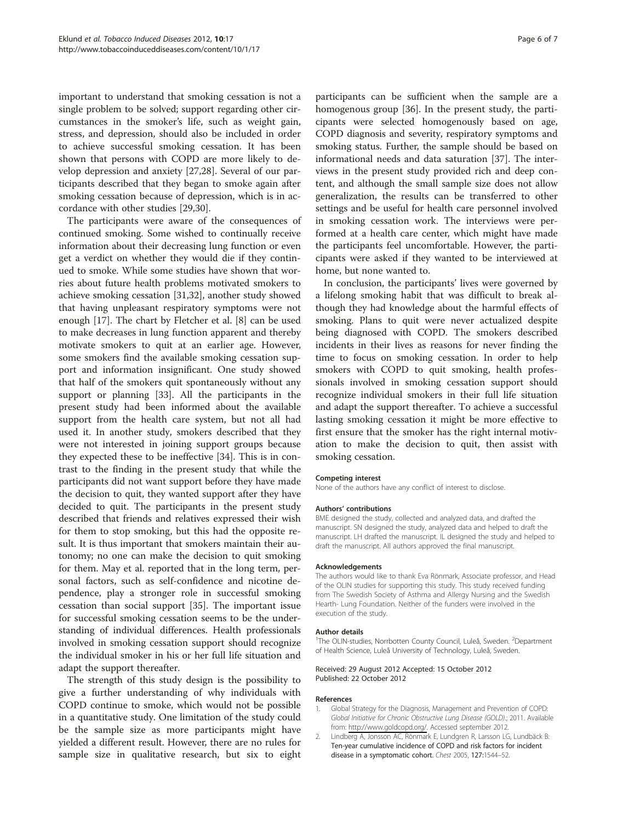<span id="page-5-0"></span>important to understand that smoking cessation is not a single problem to be solved; support regarding other circumstances in the smoker's life, such as weight gain, stress, and depression, should also be included in order to achieve successful smoking cessation. It has been shown that persons with COPD are more likely to develop depression and anxiety [\[27,28](#page-6-0)]. Several of our participants described that they began to smoke again after smoking cessation because of depression, which is in accordance with other studies [\[29,30](#page-6-0)].

The participants were aware of the consequences of continued smoking. Some wished to continually receive information about their decreasing lung function or even get a verdict on whether they would die if they continued to smoke. While some studies have shown that worries about future health problems motivated smokers to achieve smoking cessation [\[31,32](#page-6-0)], another study showed that having unpleasant respiratory symptoms were not enough [\[17](#page-6-0)]. The chart by Fletcher et al. [\[8](#page-6-0)] can be used to make decreases in lung function apparent and thereby motivate smokers to quit at an earlier age. However, some smokers find the available smoking cessation support and information insignificant. One study showed that half of the smokers quit spontaneously without any support or planning [[33\]](#page-6-0). All the participants in the present study had been informed about the available support from the health care system, but not all had used it. In another study, smokers described that they were not interested in joining support groups because they expected these to be ineffective [\[34\]](#page-6-0). This is in contrast to the finding in the present study that while the participants did not want support before they have made the decision to quit, they wanted support after they have decided to quit. The participants in the present study described that friends and relatives expressed their wish for them to stop smoking, but this had the opposite result. It is thus important that smokers maintain their autonomy; no one can make the decision to quit smoking for them. May et al. reported that in the long term, personal factors, such as self-confidence and nicotine dependence, play a stronger role in successful smoking cessation than social support [\[35\]](#page-6-0). The important issue for successful smoking cessation seems to be the understanding of individual differences. Health professionals involved in smoking cessation support should recognize the individual smoker in his or her full life situation and adapt the support thereafter.

The strength of this study design is the possibility to give a further understanding of why individuals with COPD continue to smoke, which would not be possible in a quantitative study. One limitation of the study could be the sample size as more participants might have yielded a different result. However, there are no rules for sample size in qualitative research, but six to eight participants can be sufficient when the sample are a homogenous group [\[36](#page-6-0)]. In the present study, the participants were selected homogenously based on age, COPD diagnosis and severity, respiratory symptoms and smoking status. Further, the sample should be based on informational needs and data saturation [[37](#page-6-0)]. The interviews in the present study provided rich and deep content, and although the small sample size does not allow generalization, the results can be transferred to other settings and be useful for health care personnel involved in smoking cessation work. The interviews were performed at a health care center, which might have made the participants feel uncomfortable. However, the participants were asked if they wanted to be interviewed at home, but none wanted to.

In conclusion, the participants' lives were governed by a lifelong smoking habit that was difficult to break although they had knowledge about the harmful effects of smoking. Plans to quit were never actualized despite being diagnosed with COPD. The smokers described incidents in their lives as reasons for never finding the time to focus on smoking cessation. In order to help smokers with COPD to quit smoking, health professionals involved in smoking cessation support should recognize individual smokers in their full life situation and adapt the support thereafter. To achieve a successful lasting smoking cessation it might be more effective to first ensure that the smoker has the right internal motivation to make the decision to quit, then assist with smoking cessation.

#### Competing interest

None of the authors have any conflict of interest to disclose.

#### Authors' contributions

BME designed the study, collected and analyzed data, and drafted the manuscript. SN designed the study, analyzed data and helped to draft the manuscript. LH drafted the manuscript. IL designed the study and helped to draft the manuscript. All authors approved the final manuscript.

#### Acknowledgements

The authors would like to thank Eva Rönmark, Associate professor, and Head of the OLIN studies for supporting this study. This study received funding from The Swedish Society of Asthma and Allergy Nursing and the Swedish Hearth- Lung Foundation. Neither of the funders were involved in the execution of the study.

#### Author details

<sup>1</sup>The OLIN-studies, Norrbotten County Council, Luleå, Sweden. <sup>2</sup>Department of Health Science, Luleå University of Technology, Luleå, Sweden.

#### Received: 29 August 2012 Accepted: 15 October 2012 Published: 22 October 2012

#### References

- 1. Global Strategy for the Diagnosis, Management and Prevention of COPD: Global Initiative for Chronic Obstructive Lung Disease (GOLD).; 2011. Available from: [http://www.goldcopd.org/.](http://www.goldcopd.org/) Accessed september 2012.
- 2. Lindberg A, Jonsson AC, Rönmark E, Lundgren R, Larsson LG, Lundbäck B: Ten-year cumulative incidence of COPD and risk factors for incident disease in a symptomatic cohort. Chest 2005, 127:1544–52.